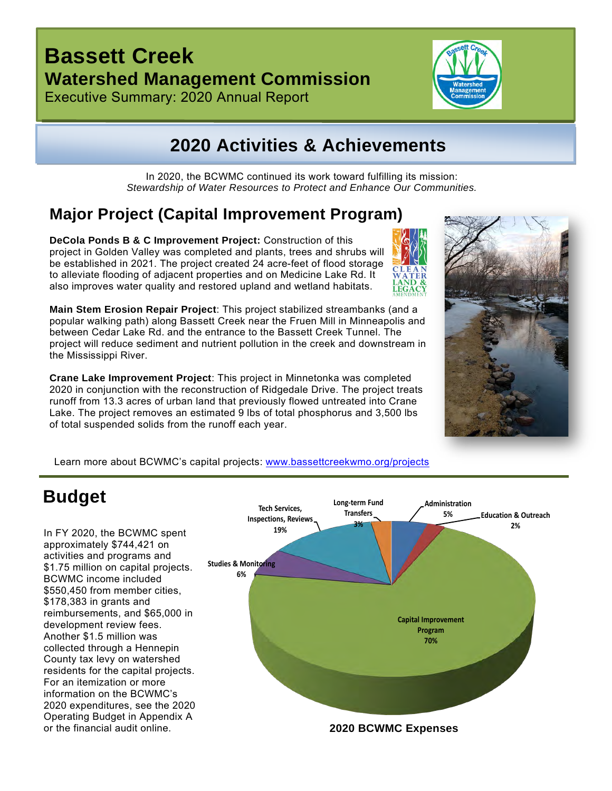### **Bassett Creek Watershed Management Commission**





#### **2020 Activities & Achievements**

In 2020, the BCWMC continued its work toward fulfilling its mission: *Stewardship of Water Resources to Protect and Enhance Our Communities.*

#### **Major Project (Capital Improvement Program)**

**DeCola Ponds B & C Improvement Project:** Construction of this project in Golden Valley was completed and plants, trees and shrubs will be established in 2021. The project created 24 acre-feet of flood storage to alleviate flooding of adjacent properties and on Medicine Lake Rd. It also improves water quality and restored upland and wetland habitats.

**Main Stem Erosion Repair Project**: This project stabilized streambanks (and a popular walking path) along Bassett Creek near the Fruen Mill in Minneapolis and between Cedar Lake Rd. and the entrance to the Bassett Creek Tunnel. The project will reduce sediment and nutrient pollution in the creek and downstream in the Mississippi River.

**Crane Lake Improvement Project**: This project in Minnetonka was completed 2020 in conjunction with the reconstruction of Ridgedale Drive. The project treats runoff from 13.3 acres of urban land that previously flowed untreated into Crane Lake. The project removes an estimated 9 lbs of total phosphorus and 3,500 lbs of total suspended solids from the runoff each year.



í

Learn more about BCWMC's capital projects: [www.bassettcreekwmo.org/projects](http://www.bassettcreekwmo.org/projects)

#### **Budget**

In FY 2020, the BCWMC spent approximately \$744,421 on activities and programs and \$1.75 million on capital projects. BCWMC income included \$550,450 from member cities, \$178,383 in grants and reimbursements, and \$65,000 in development review fees. Another \$1.5 million was collected through a Hennepin County tax levy on watershed residents for the capital projects. For an itemization or more information on the BCWMC's 2020 expenditures, see the 2020 Operating Budget in Appendix A or the financial audit online.